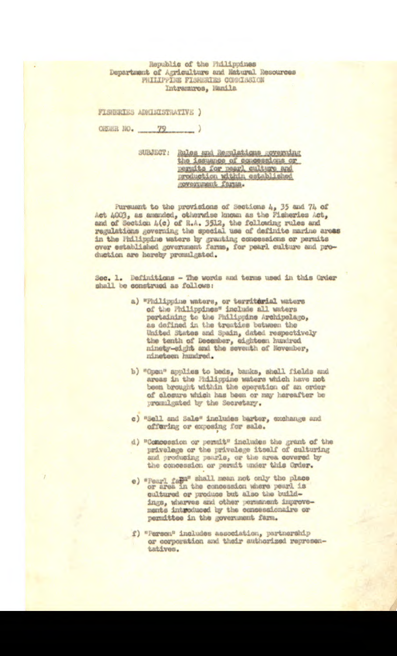Republic of the Philippines Department of Agriculture and Natural Resources PHILIPPINE FISHERIES CONNESION Intramuros, Manila

FISHERIES ADMINISTRATIVE )

ORDER NO. 79

SUBJECT: Rules and Regulations governing the issuance of concessions or permits for pearl culture and

Pursuant to the provisions of Sections 4, 35 and 74 of Act 4003, as amended, otherwise known as the Fisheries Act, and of Section 4(c) of R.A. 3512, the following rules and regulations governing the special use of definite marine areas in the Philippine waters by granting concessions or permits over established government farms, for pearl culture and production are hereby promulgated.

Sec. 1. Definitions - The words and terms used in this Order shall be construed as follows:

- a) "Philippine waters, or territerial waters of the Philippines" include all waters pertaining to the Philippine Archipelago, as defined in the treaties between the United States and Spain, dated respectively<br>the tenth of December, eighteen hundred ninety-eight and the seventh of November, nineteen hundred.
- b) "Open" applies to beds, banks, shell fields and areas in the Philippine waters which have not been brought within the operation of an order of closure which has been or may hereafter be promigated by the Secretary.
- c) "Sell and Sale" includes barter, exchange and offering or exposing for sale.
- d) "Comoession or permit" includes the grant of the privelege or the privelege itself of culturing and producing paarls, or the area covered by the concession or permit under this Order.
- e) "Pearl faba" shall mean not only the place or area in the concession where pearl is cultured or produce but also the buildings, wharves and other permanent improvements introduced by the concessionaire or permittee in the government farm.
- f) "Person" includes association, partnership or corporation and their authorized representatives.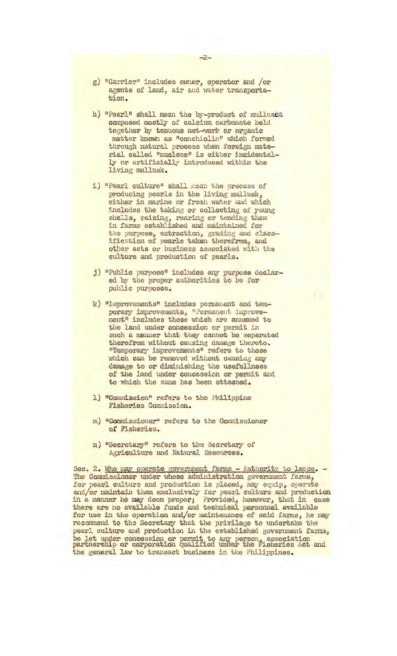| g) | "Carrier" includes owner, operator and /or |  |  |  |  |
|----|--------------------------------------------|--|--|--|--|
|    | agents of land, air and water transporta-  |  |  |  |  |
|    | tion.                                      |  |  |  |  |

- h) "Pearl" shall mean the by-product of mullusca composed mostly of calcium carbonate held together by tenuous net-work or organic matter known as "conchiolin" which formed through natural process when foreign material called "nucleus" is either incidentally or artificially introduced within the living mullusk.
- 1) "Pearl culture" shall mean the process of producing pearls in the living mullusk, either in marine or fresh water and which includes the taking or collecting of young shells, raising, rearing or tending them in farms established and maintained for the purpose, extraction, grading and class-<br>ification of pearls taken therefrom, and other acts or business associated with the culture and production of pearls.
- j) "Public purpose" includes any purpose declared by the proper authorities to be for public purposes.
- k) "Improvements" includes permanent and temporary improvements, "Permanent improvethe land under concession or permit in such a menner that they cannot be separated therefrom without causing damage thereto. "Temporary improvements" refers to those<br>which can be removed without causing any damage to or diminishing the usefullness of the land under concession or permit and to which the same has been attached.
- 1) "Commission" refers to the Philippine Fisheries Commission.
- m) "Commissioner" refers to the Commissioner of Pisheries.
- n) "Secretary" refers to the Secretary of Agriculture and Natural Resources.

Sec. 2. Who may operate government farms - Authority to lease. -The Commissioner under whose administration government farms, for pearl culture and production is placed, may equip, operate and/or maintain them exclusively for pearl culture and production<br>in a manner he may deem proper; Provided, however, that in case<br>there are no available funds and technical personnel available for use in the operation and/or maintenance of said farms, he may recommend to the Secretary that the privilege to undertake the pearl culture and production in the established government farms, be let under concession or permit to any person, association partnership or corporation qualified under the Fisheries Act and the general law to transact business in the Philippines.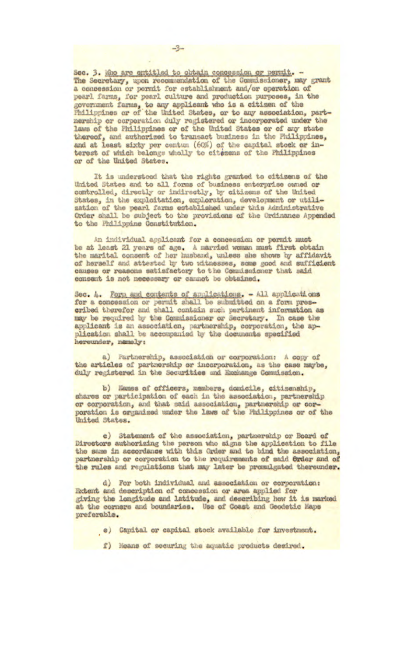Sec. 3. Who are entitled to obtain concession or permit. -The Secretary, upon recommendation of the Commissioner, may grant a concession or permit for establishment and/or operation of pearl farms, for pearl culture and production purposes, in the government farms, to any applicant who is a citizen of the Philippines or of the United States, or to any association, partnership or corporation duly registered or incorporated under the laws of the Philippines or of the United States or of any state thereof, and authorized to transact business in the Philippines, and at least sixty per centum (60%) of the capital stock or in-<br>terest of which belongs wholly to citezens of the Philippines or of the United States.

It is understood that the rights granted to citizens of the United States and to all forms of business enterprise owned or controlled, directly or indirectly, by citizens of the United States, in the exploitation, exploration, development or utilization of the pearl farms established under this Administrative Order shall be subject to the provisions of the Ordinance Appended to the Philippine Constitution.

An individual applicant for a concession or permit must be at least 21 years of age. A married woman must first obtain the marital consent of her husband, unless she shows by affidavit of herself and attested by two witnesses, some good and sufficient causes or reasons satisfactory to the Commissioner that said consent is not necessary or cannot be obtained.

Sec. 4. Form and contents of applications. - All applications<br>for a concession or permit shall be submitted on a form pres-<br>cribed therefor and shall contain such pertinent information as may be required by the Commissioner or Secretary. In case the applicant is an association, partnership, corporation, the application shall be accompanied by the documents specified hereunder, namely:

a) Partnership, association or corporation: A copy of the articles of partnership or incorporation, as the case maybe, duly registered in the Securities and Exchange Commission.

b) Names of officers, members, domicile, citizenship, shares or participation of each in the association, partnership or corporation, and that said association, partnership or corporation is organized under the laws of the Fhilippines or of the United States.

c) Statement of the association, partnership or Board of Directors authorizing the person who signs the application to file the same in accordance with this Order and to bind the association, partnership or corporation to the requirements of said Order and of the rules and regulations that may later be promulgated thereunder.

d) For both individual and association or corporation: Extent and description of concession or area applied for giving the longitude and latitude, and describing how it is marked at the corners and boundaries. Use of Coast and Goodstic Maps preferable.

- e) Capital or capital stock available for investment.
- f) Means of securing the aquatic products desired.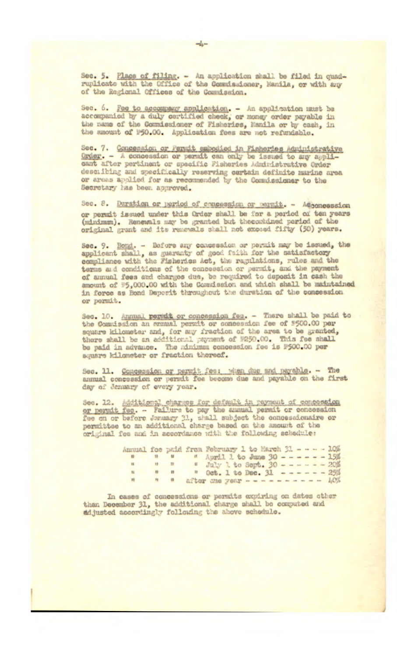Sec. 5. Place of filing. - An application shall be filed in quadruplicate with the Office of the Commissioner, Manila, or with any of the Regional Offices of the Commission.

Sec. 6. Fee to accompany application. - An application must be accompanied by a duly certified check, or money order payable in the name of the Commissioner of Fisheries, Manila or by cash, in the smount of 150.00. Application fees are not refundable.

Sec. 7. Concession or Permit embodied in Fisheries Administrative Order. - A concession or permit can only be issued to any applicant after pertinent or specific Fisheries Administrative Order describing and specifically reserving certain definite marine area or areas apolied for as recommended by the Commissioner to the Secretary has been approved.

Sec. 8. Duration or period of concession or permit. - Acconcession or permit issued under this Order shall be for a period of ten years (minimum). Renewals may be granted but thecombined period of the original grant and its remewals shall not exceed fifty (50) years.

Sec. 9. Bond. - Before any concession or permit may be issued, the applicant shall, as guaranty of good faith for the satisfactory compliance with the Fisheries Act, the regulations, rules and the terms and conditions of the concession or permit, and the payment of annual fees and charges due, be required to deposit in cash the amount of #5,000.00 with the Commission and which shall be maintained in force as Bond Deporit throughout the duration of the concession or permit.

Sec. 10. Annual permit or concession fee. - There shall be paid to the Commission an annual permit or concession fee of \$500.00 per square kilometer and, for any fraction of the area to be granted, there shall be an additional payment of \$250.00. This fee shall be paid in advance. The minimum concession fee is \$500.00 per square kilometer or fraction thereof.

Sec. 11. Concession or permit fee: when due and payable. - The annual concession or permit fee become due and payable on the first day of Jenuary of every year.

Sec. 12. Additional charges for default in payment of concession<br>or permit fee. - Failure to pay the annual permit or concession fee on or before January 31, shall subject the concessionaire or permittee to an additional charge based on the amount of the original fee and in accordance with the following schedule:

| Annual foe paid from February 1 to March 31 - - - - 10% |  |  |                                                 |  |  |  |  |
|---------------------------------------------------------|--|--|-------------------------------------------------|--|--|--|--|
|                                                         |  |  | " April 1 to June 30 - - - - - - 15%            |  |  |  |  |
| 11                                                      |  |  | $\frac{1}{2}$ July 1. to Sept. 30 - - - - - 20% |  |  |  |  |
|                                                         |  |  | " Oct. 1 to Dec. 31 ------ 25%                  |  |  |  |  |
|                                                         |  |  | after me year ---------- 40%                    |  |  |  |  |

In cases of concessions or permits expiring on dates other than December 31, the additional charge shall be computed and adjusted accordingly following the above schedule.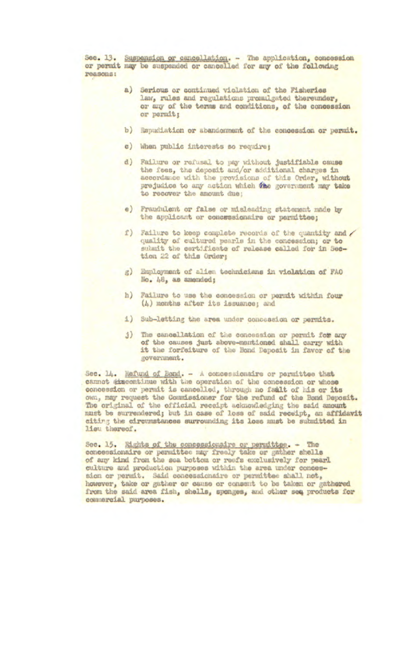Sec. 13. Suspension or cancellation. - The application, concession or permit may be suspended or cancelled for any of the following *reasons:* 

- a) 3erious or contiucd violation of the **Fisheries**  law, rules and regulations promulgated thereunder, or any of the terms and conditions, of the **concession**  or permit;
- b) Repudiation or abandonment of the concession or permit.
- c) When public interests so require;
- d) Failure **or** refusal to pay without **justifiable cause**  the fees, the deposit and/or additional charges in accordance with the provisions of this Order, without prejudice to any action which the government may take to recover the **amount due;**
- e) Fraudulent or false or misleading statement made by the applicant or concessionaire or permittee;
- *f) Failure to keep coiplete records of tne çuantity and /*  quality of cultured pearls in the concession; or to submit the certificate of release called for in Sec**tion** 22 of this Order;
- g) Employment of alien technicians in violation of FAO No. 48, as amended;
- b) Failure to use the **concession** or **permit within four**  *(4)* months after its issuance; and
- i) Sub-letting the area under concession or permits.
- j) The **cancellation** of the concession or permit **fov** ar of the causes just **above**-mentioned shall carry with it the forfeiture of the Bond Deposit in favor of the government.

Sec • 14. 1efud of Bond. - concen **ionaire** *or permittee that*  cannot discontinue with the operation of the concession or whose concession or permit is cancelled, through no faùlt of his or its own, may request the Commissioner for the refund of the Bond Deposit. The original of the official receipt acknowledging the said amount muEt be surrendered; but in case of loss **of said** receipt, an **affidavit**  eiting the circumstances surrounding its loss must be submitted in *list thereof.* 

Soc. 15. Rights of the concessionaire or permittee. - The concessionaire or permittee may freely take or gather shells of axr kind from the sea bottom or **rests exclusively** for pearl culture and production purposes within the area under concession or permit. Said concessionaire or permittee shall not, however, take or gather or cause or consent to be taken or gathered from the said **area** fish, shells, epones, and other **ses** products for commercial purposes.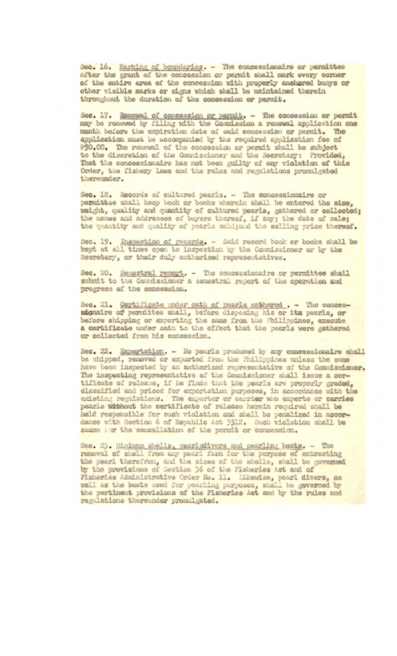Sec. 16. Marking of boundaries. - The concessionaire or permittee after the grant of the concession or permit shall mark every corner of the entire area of the concession with properly anchored buoys or other visible marks or signs which shall be maintained therein throughout the duration of the concession or permit.

Sec. 17. Renowal of concession or permit. - The concession or permit may be renewed by filing with the Gommission a renewal application one month before the expiration date of said concession or permit. The application must be accompanied by the required application fee of 950.00. The renewal of the concession or permit shall be subject to the discretion of the Commissioner and the Secretary: Provided, That the concessionaire has not been guilty of any violation of this Order, the fishery laws and the rales and regulations promulgated thereunder.

Sec. 18. Records of cultured pearls. - The concessionaire or permittee shall keep book or books wherein shall be entered the size, weight, quality and quantity of cultured pearls, gathered or collected; the names and addresses of buyers thereof, if any; the date of sale; the quantity and quality of pearls sold; and the selling price thereof.

Sec. 19. Inspection of records. - Said record book or books shall be kept at all times open to inspection by the Commissioner or by the Secretary, or their duly authorized representatives.

Sec. 20. Semestral report. - The concessionaire or permittee shall submit to the Commissioner a semestral report of the operation and progress of the concession.

Sec. 21. Certificate under oath of pearls gathered . - The concesstonaire of permittee shall, before disposing his or its pearls, or before shipping or exporting the same from the Philippines, execute a certificate under eath to the effect that the pearls were gathered or collected from his concession.

Sec. 22. Exportation. - No pearls produced by any concessionaire shall be shipped, removed or exported from the Philippines unless the same have been inspected by an authorized representative of the Commissioner. The inspecting representative of the Commissioner shall issue a certificate of release, if he finds that the pearls are properly graded, classified and priced for exportation purposes, in accordance with the existing regulations. The experter or carrier who exports or carries pearls withhout the certificate of release herein required shall be held responsible for such violation and shall be penalized in accordance with Section 6 of Republic Act 3512. Such violation shall be cause ior the cancellation of the permit or concession.

Sec. 23. Minimum shells, pearladivers and pearling boats. - The removal of shell from any pearl farm for the purpose of extracting the pearl therefrom, and the sizes of the shells, shall be governed by the provisions of Section 36 of the Fisheries Act and of Fisheries Administrative Order No. 11. Likewise, pearl divers, as well as the boats used for pearling purposes, shall be governed by the pertinent provisions of the Fisheries Act and by the rules and regulations thereunder promulgated.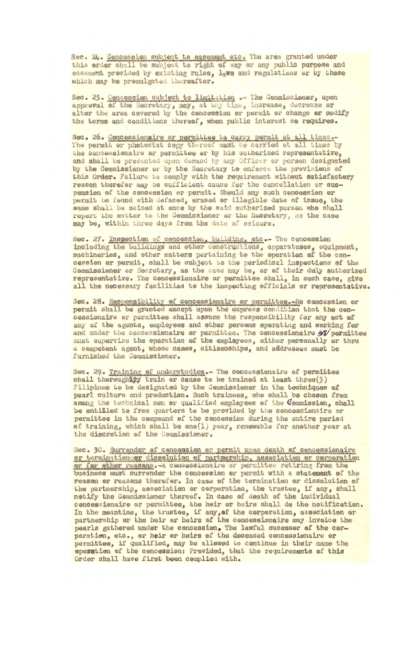Sec. 24. Cencession subject to easement etc. The area granted under this erder shall be subject to right of way or any public purpose and easement previded by existing rules, laws and regulations or by these which may be promulgated thereafter.

Sec. 25. Concession subject to limitation .- The Commissioner, upon<br>approval of the Secretary, may, at any time, increase, decrease or<br>alter the area covered by the concession or permit or change or modify the terms and cenditions thereof, when public interest so requires.

Sec. 26. Concessionaire or permittee to carry permit at all times.-<br>The permit or photostat copy thereof mast be carried at all times by<br>the concessionaire or permittee or by his authorized representative, and shall be presented upon demand by any Officer or person designated by the Commissioner or by the Secretary to enforce the provisions of this Order. Failure to comply with the requirement without satisfactory reason therefor may be sufficient cause for the cancellation or suspension of the concession or permit. Should any such concession or permit be found with defaced, erased or illegible date of issue, the same shall be seized at ence by the said authorized person who shall repert the matter te the Commissioner or the Secretary, as the case may be, within three days from the date of seisure.

Sec. 27. Inspection of concession, building, etc. The concession including the buildings and other constructions, apparatuses, equipment, machineries, and other matters pertaining to the operation of the concession or permit, shall be subject to the periodical inspections of the Commissioner or Secretary, as the case may be, or of their duly authorized representative. The concessionaire or permittee shall, in such case, give all the necessary facilities to the inspecting officials or representative.

Sec. 28. Respensibility of concessionaire or permittee.-Ne concession or permit shall be granted except upon the express condition that the cencessionaire or permittee shall assume the responsibility for any act of any of the agents, employees and other persons operating and werking for and under the concessionaire or permittee. The concessionaire of permittee must supervise the operation of the employees, either personally or thru a competent agent, whose names, citizenships, and addresses must be furnished the Commissioner.

Sec. 29. Training of understudies.- The concessionaire of permittee shall thereughly train or cause to be trained at least three(3) Filipines to be designated by the Commissioner in the techniques of pearl culture and production. Such trainees, who shall be chesen from among the technical men or qualified employees of the Commission, shall be entitled to free quarters to be previded by the concessionaire or permittee in the compound of the concession during the entire period of training, which shall be ene(1) year, renewable for another year at the discretion of the Commissioner.

Sec. 30. Surrender of concession or permit upon death of concessionaire or termination or dissolution of partmership, asseciation or corporation or for other reasons. A concessionaire or permittee retiring from the business must surrender the concession or permit with a statement of the reasons therefor. In case of the termination or dissolution of the partnership, association or corporation, the trustee, if any, shall netify the Commissioner thereof. In case of death of the individual concessionaire or permittee, the heir or hoirs shall de the notification. In the meantime, the trustee, if any, of the corporation, association or partnership or the heir or hoirs of the concessionaire may invoice the pearls gathered under the concession, The lawful sucessor of the corperation, etc., or heir er heirs of the deceased concessionaire or permittee, if qualified, may be allowed be continue in their name the operation of the concession: Provided, that the requirements of this Order shall have first been complied with.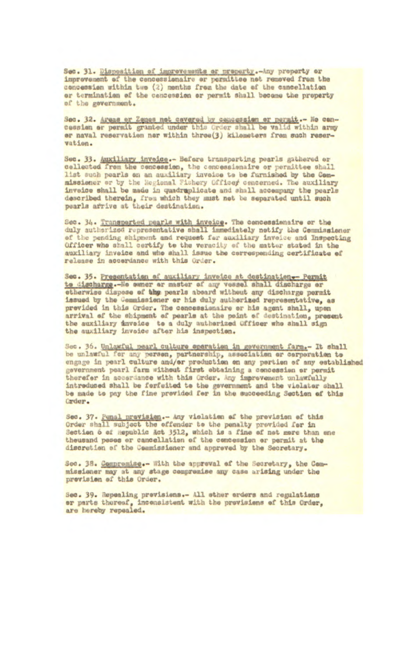Sec. 31. Disposition of improvements or preparty.-Any preparty or improvement of the concessionaire or permittee not removed from the concession within two (2) menths from the date of the cancellation er termination of the cencession or permit shall become the property of the government.

Sec. 32. Areas er Zenes net cavered by cencession or permit. - Ne con-cession or permit granted under this Order shall be valid within army or naval reservation ner within three(3) kilometers from such reservation.

Sec. 33. Auxiliary inveice.- Before transporting pearls gathered or cellected from the concession, the concessionaire or permittee shall list such pearls on an auxiliary invoice to be furnished by the Commissioner or by the Regional Fishery Officer centerned. The auxiliary inveice shall be made in quadraplicate and shall accempany the pearls described therein, from which they must not be separated until such pearls afrive at their destination.

Sec. 34. Transperted pearls with inveice. The concessionaire or the duly authorized representative shall immediately netify the Commissioner of the pending shipment and request for auxiliary invoice and Inspecting Officer who shall certify to the veracity of the matter stated in the auxiliary inveice and who shall issue the corresponding certificate of release in accerdance with this Order.

Sec. 35. Presentation of auxiliary inveice at destination- Permit<br>to discharge.-No owner or master of any vessel shall discharge or<br>otherwise dispose of the pearls aboard without any discharge permit issued by the Commissioner or his duly authorized representative, as previded in this Order. The concessionaire or his agent shall, upon arrival of the shipment of pearls at the point of destination, present the auxiliary invoice to a duly authorized Officer who shall sign the auxiliary invoice after his inspection.

Sec. 36. Unlawful pearl culture operation in government farm.- It shall<br>be unlawful for any person, partnership, association or corporation to<br>engage in pearl culture and/or production on any pertion of any established gevernment pearl farm without first ebtaining a concession or permit therefor in accordance with this Order. Any improvement unlawfully introduced shall be ferfeited to the gevernment and the violator shall be made to pay the fine previded for in the succeeding Section of this Crder.

Sec. 37. Penal prevision.- Any violation of the prevision of this Order shall subject the effender to the penalty provided for in Section 6 of Republic Act 3512, which is a fine of not more than one theusand peses er cancellation of the concession or permit at the discretion of the Commissioner and approved by the Secretary.

Sec. 38. Compremise.- With the appreval of the Secretary, the Commissioner may at any stage compremise any case arising under the prevision of this Order.

Sec. 39. Repealing previsions.- All other orders and regulations or parts thereof, inconsistent with the previsions of this Order, are hereby repealed.